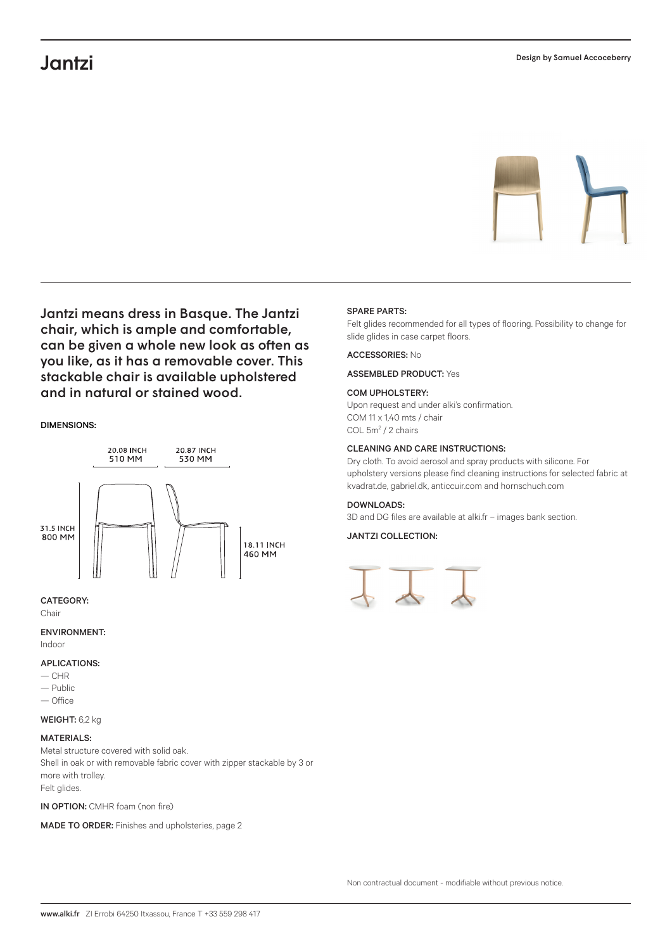# Jantzi



Jantzi means dress in Basque. The Jantzi chair, which is ample and comfortable, can be given a whole new look as often as you like, as it has a removable cover. This stackable chair is available upholstered and in natural or stained wood.

## DIMENSIONS:



## CATEGORY:

Chair

ENVIRONMENT:

Indoor

## APLICATIONS:

- $-CHR$
- Public
- Office
- WEIGHT: 6,2 kg

## MATERIALS:

Metal structure covered with solid oak. Shell in oak or with removable fabric cover with zipper stackable by 3 or more with trolley. Felt glides.

IN OPTION: CMHR foam (non fire)

MADE TO ORDER: Finishes and upholsteries, page 2

#### SPARE PARTS:

Felt glides recommended for all types of flooring. Possibility to change for slide glides in case carpet floors.

### ACCESSORIES: No

ASSEMBLED PRODUCT: Yes

#### COM UPHOLSTERY:

Upon request and under alki's confirmation. COM 11 x 1,40 mts / chair COL 5m<sup>2</sup> / 2 chairs

#### CLEANING AND CARE INSTRUCTIONS:

Dry cloth. To avoid aerosol and spray products with silicone. For upholstery versions please find cleaning instructions for selected fabric at kvadrat.de, gabriel.dk, anticcuir.com and hornschuch.com

#### DOWNLOADS:

3D and DG files are available at alki.fr – images bank section.

## JANTZI COLLECTION: